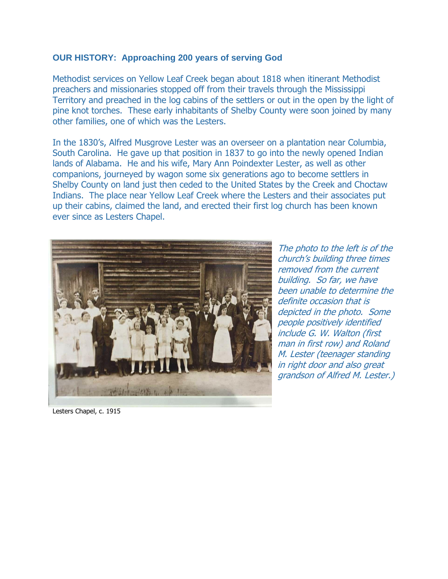## **OUR HISTORY: Approaching 200 years of serving God**

Methodist services on Yellow Leaf Creek began about 1818 when itinerant Methodist preachers and missionaries stopped off from their travels through the Mississippi Territory and preached in the log cabins of the settlers or out in the open by the light of pine knot torches. These early inhabitants of Shelby County were soon joined by many other families, one of which was the Lesters.

In the 1830's, Alfred Musgrove Lester was an overseer on a plantation near Columbia, South Carolina. He gave up that position in 1837 to go into the newly opened Indian lands of Alabama. He and his wife, Mary Ann Poindexter Lester, as well as other companions, journeyed by wagon some six generations ago to become settlers in Shelby County on land just then ceded to the United States by the Creek and Choctaw Indians. The place near Yellow Leaf Creek where the Lesters and their associates put up their cabins, claimed the land, and erected their first log church has been known ever since as Lesters Chapel.



The photo to the left is of the church's building three times removed from the current building. So far, we have been unable to determine the definite occasion that is depicted in the photo. Some people positively identified include G. W. Walton (first man in first row) and Roland M. Lester (teenager standing in right door and also great grandson of Alfred M. Lester.)

Lesters Chapel, c. 1915